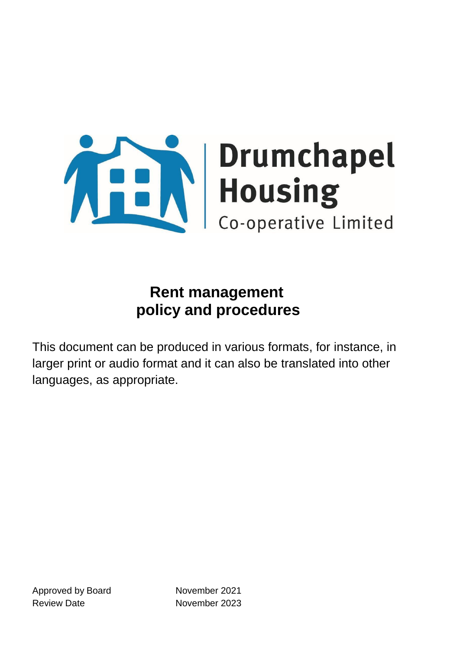

This document can be produced in various formats, for instance, in larger print or audio format and it can also be translated into other languages, as appropriate.

Approved by Board November 2021 Review Date **November 2023**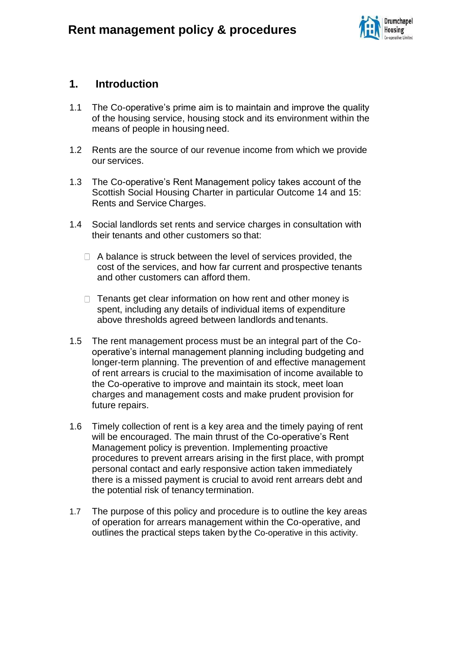

#### **1. Introduction**

- 1.1 The Co-operative's prime aim is to maintain and improve the quality of the housing service, housing stock and its environment within the means of people in housing need.
- 1.2 Rents are the source of our revenue income from which we provide our services.
- 1.3 The Co-operative's Rent Management policy takes account of the Scottish Social Housing Charter in particular Outcome 14 and 15: Rents and Service Charges.
- 1.4 Social landlords set rents and service charges in consultation with their tenants and other customers so that:
	- $\Box$  A balance is struck between the level of services provided, the cost of the services, and how far current and prospective tenants and other customers can afford them.
	- $\Box$  Tenants get clear information on how rent and other money is spent, including any details of individual items of expenditure above thresholds agreed between landlords and tenants.
- 1.5 The rent management process must be an integral part of the Cooperative's internal management planning including budgeting and longer-term planning. The prevention of and effective management of rent arrears is crucial to the maximisation of income available to the Co-operative to improve and maintain its stock, meet loan charges and management costs and make prudent provision for future repairs.
- 1.6 Timely collection of rent is a key area and the timely paying of rent will be encouraged. The main thrust of the Co-operative's Rent Management policy is prevention. Implementing proactive procedures to prevent arrears arising in the first place, with prompt personal contact and early responsive action taken immediately there is a missed payment is crucial to avoid rent arrears debt and the potential risk of tenancy termination.
- 1.7 The purpose of this policy and procedure is to outline the key areas of operation for arrears management within the Co-operative, and outlines the practical steps taken by the Co-operative in this activity.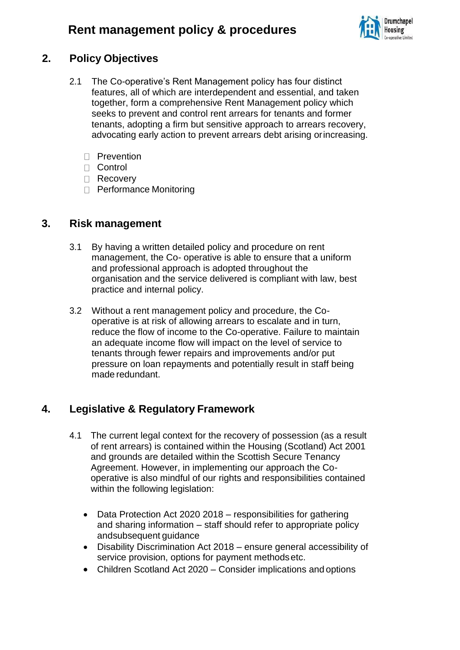

### **2. Policy Objectives**

- 2.1 The Co-operative's Rent Management policy has four distinct features, all of which are interdependent and essential, and taken together, form a comprehensive Rent Management policy which seeks to prevent and control rent arrears for tenants and former tenants, adopting a firm but sensitive approach to arrears recovery, advocating early action to prevent arrears debt arising orincreasing.
	- D Prevention
	- D Control
	- □ Recovery
	- □ Performance Monitoring

### **3. Risk management**

- 3.1 By having a written detailed policy and procedure on rent management, the Co- operative is able to ensure that a uniform and professional approach is adopted throughout the organisation and the service delivered is compliant with law, best practice and internal policy.
- 3.2 Without a rent management policy and procedure, the Cooperative is at risk of allowing arrears to escalate and in turn, reduce the flow of income to the Co-operative. Failure to maintain an adequate income flow will impact on the level of service to tenants through fewer repairs and improvements and/or put pressure on loan repayments and potentially result in staff being made redundant.

### **4. Legislative & Regulatory Framework**

- 4.1 The current legal context for the recovery of possession (as a result of rent arrears) is contained within the Housing (Scotland) Act 2001 and grounds are detailed within the Scottish Secure Tenancy Agreement. However, in implementing our approach the Cooperative is also mindful of our rights and responsibilities contained within the following legislation:
	- Data Protection Act 2020 2018 responsibilities for gathering and sharing information – staff should refer to appropriate policy andsubsequent guidance
	- Disability Discrimination Act 2018 ensure general accessibility of service provision, options for payment methodsetc.
	- Children Scotland Act 2020 Consider implications and options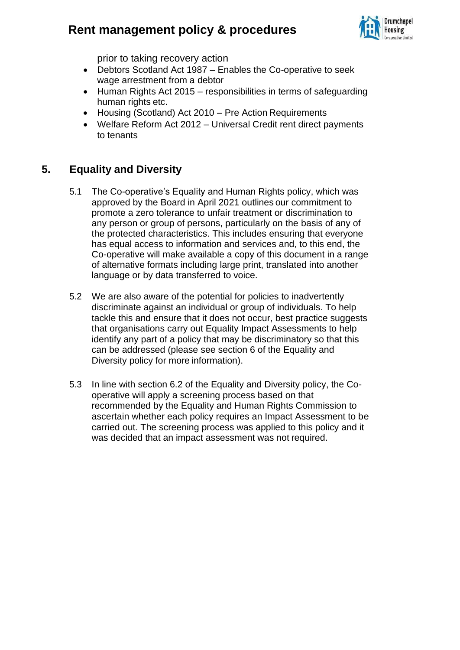

prior to taking recovery action

- Debtors Scotland Act 1987 Enables the Co-operative to seek wage arrestment from a debtor
- Human Rights Act 2015 responsibilities in terms of safeguarding human rights etc.
- Housing (Scotland) Act 2010 Pre Action Requirements
- Welfare Reform Act 2012 Universal Credit rent direct payments to tenants

#### **5. Equality and Diversity**

- 5.1 The Co-operative's Equality and Human Rights policy, which was approved by the Board in April 2021 outlines our commitment to promote a zero tolerance to unfair treatment or discrimination to any person or group of persons, particularly on the basis of any of the protected characteristics. This includes ensuring that everyone has equal access to information and services and, to this end, the Co-operative will make available a copy of this document in a range of alternative formats including large print, translated into another language or by data transferred to voice.
- 5.2 We are also aware of the potential for policies to inadvertently discriminate against an individual or group of individuals. To help tackle this and ensure that it does not occur, best practice suggests that organisations carry out Equality Impact Assessments to help identify any part of a policy that may be discriminatory so that this can be addressed (please see section 6 of the Equality and Diversity policy for more information).
- 5.3 In line with section 6.2 of the Equality and Diversity policy, the Cooperative will apply a screening process based on that recommended by the Equality and Human Rights Commission to ascertain whether each policy requires an Impact Assessment to be carried out. The screening process was applied to this policy and it was decided that an impact assessment was not required.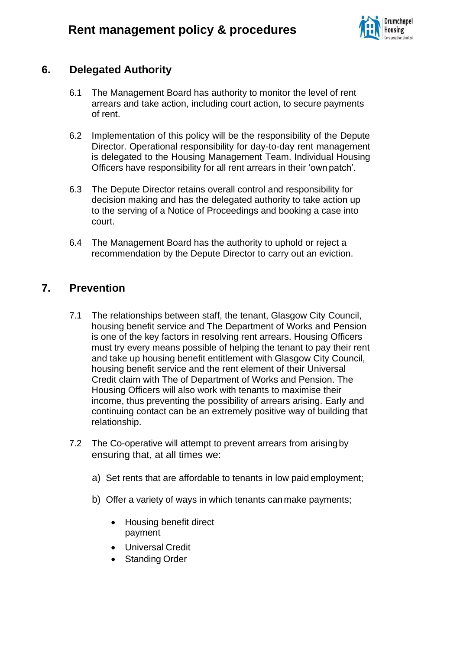

### **6. Delegated Authority**

- 6.1 The Management Board has authority to monitor the level of rent arrears and take action, including court action, to secure payments of rent.
- 6.2 Implementation of this policy will be the responsibility of the Depute Director. Operational responsibility for day-to-day rent management is delegated to the Housing Management Team. Individual Housing Officers have responsibility for all rent arrears in their 'own patch'.
- 6.3 The Depute Director retains overall control and responsibility for decision making and has the delegated authority to take action up to the serving of a Notice of Proceedings and booking a case into court.
- 6.4 The Management Board has the authority to uphold or reject a recommendation by the Depute Director to carry out an eviction.

### **7. Prevention**

- 7.1 The relationships between staff, the tenant, Glasgow City Council, housing benefit service and The Department of Works and Pension is one of the key factors in resolving rent arrears. Housing Officers must try every means possible of helping the tenant to pay their rent and take up housing benefit entitlement with Glasgow City Council, housing benefit service and the rent element of their Universal Credit claim with The of Department of Works and Pension. The Housing Officers will also work with tenants to maximise their income, thus preventing the possibility of arrears arising. Early and continuing contact can be an extremely positive way of building that relationship.
- 7.2 The Co-operative will attempt to prevent arrears from arisingby ensuring that, at all times we:
	- a) Set rents that are affordable to tenants in low paid employment;
	- b) Offer a variety of ways in which tenants canmake payments;
		- Housing benefit direct payment
		- Universal Credit
		- **Standing Order**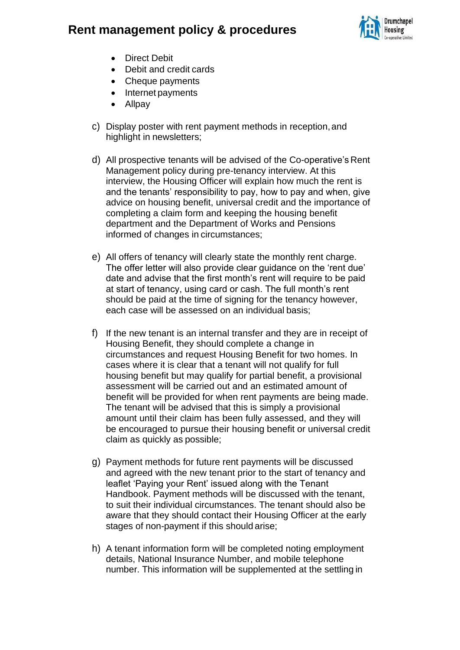

- Direct Debit
- Debit and credit cards
- Cheque payments
- Internet payments
- Allpay
- c) Display poster with rent payment methods in reception,and highlight in newsletters;
- d) All prospective tenants will be advised of the Co-operative's Rent Management policy during pre-tenancy interview. At this interview, the Housing Officer will explain how much the rent is and the tenants' responsibility to pay, how to pay and when, give advice on housing benefit, universal credit and the importance of completing a claim form and keeping the housing benefit department and the Department of Works and Pensions informed of changes in circumstances;
- e) All offers of tenancy will clearly state the monthly rent charge. The offer letter will also provide clear guidance on the 'rent due' date and advise that the first month's rent will require to be paid at start of tenancy, using card or cash. The full month's rent should be paid at the time of signing for the tenancy however, each case will be assessed on an individual basis;
- f) If the new tenant is an internal transfer and they are in receipt of Housing Benefit, they should complete a change in circumstances and request Housing Benefit for two homes. In cases where it is clear that a tenant will not qualify for full housing benefit but may qualify for partial benefit, a provisional assessment will be carried out and an estimated amount of benefit will be provided for when rent payments are being made. The tenant will be advised that this is simply a provisional amount until their claim has been fully assessed, and they will be encouraged to pursue their housing benefit or universal credit claim as quickly as possible;
- g) Payment methods for future rent payments will be discussed and agreed with the new tenant prior to the start of tenancy and leaflet 'Paying your Rent' issued along with the Tenant Handbook. Payment methods will be discussed with the tenant, to suit their individual circumstances. The tenant should also be aware that they should contact their Housing Officer at the early stages of non-payment if this should arise;
- h) A tenant information form will be completed noting employment details, National Insurance Number, and mobile telephone number. This information will be supplemented at the settling in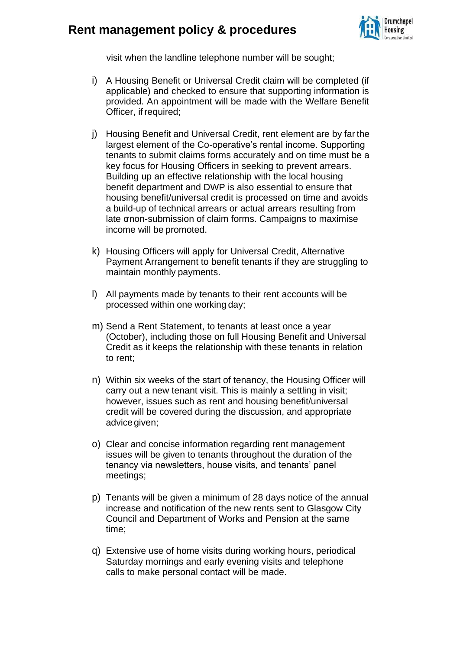

visit when the landline telephone number will be sought;

- i) A Housing Benefit or Universal Credit claim will be completed (if applicable) and checked to ensure that supporting information is provided. An appointment will be made with the Welfare Benefit Officer, if required;
- j) Housing Benefit and Universal Credit, rent element are by far the largest element of the Co-operative's rental income. Supporting tenants to submit claims forms accurately and on time must be a key focus for Housing Officers in seeking to prevent arrears. Building up an effective relationship with the local housing benefit department and DWP is also essential to ensure that housing benefit/universal credit is processed on time and avoids a build-up of technical arrears or actual arrears resulting from late ornon-submission of claim forms. Campaigns to maximise income will be promoted.
- k) Housing Officers will apply for Universal Credit, Alternative Payment Arrangement to benefit tenants if they are struggling to maintain monthly payments.
- l) All payments made by tenants to their rent accounts will be processed within one working day;
- m) Send a Rent Statement, to tenants at least once a year (October), including those on full Housing Benefit and Universal Credit as it keeps the relationship with these tenants in relation to rent;
- n) Within six weeks of the start of tenancy, the Housing Officer will carry out a new tenant visit. This is mainly a settling in visit; however, issues such as rent and housing benefit/universal credit will be covered during the discussion, and appropriate advice given;
- o) Clear and concise information regarding rent management issues will be given to tenants throughout the duration of the tenancy via newsletters, house visits, and tenants' panel meetings;
- p) Tenants will be given a minimum of 28 days notice of the annual increase and notification of the new rents sent to Glasgow City Council and Department of Works and Pension at the same time;
- q) Extensive use of home visits during working hours, periodical Saturday mornings and early evening visits and telephone calls to make personal contact will be made.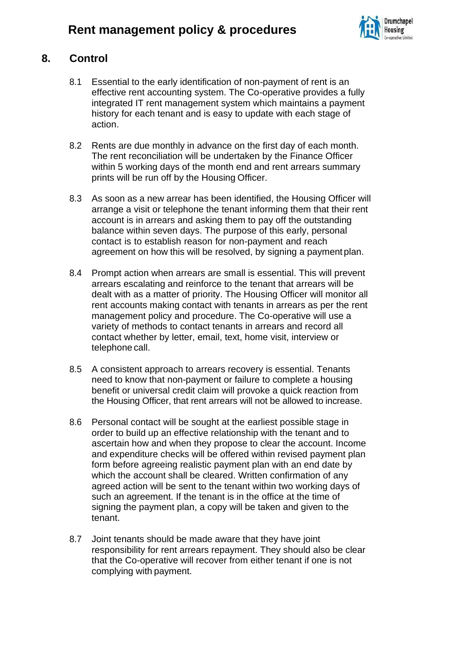

### **8. Control**

- 8.1 Essential to the early identification of non-payment of rent is an effective rent accounting system. The Co-operative provides a fully integrated IT rent management system which maintains a payment history for each tenant and is easy to update with each stage of action.
- 8.2 Rents are due monthly in advance on the first day of each month. The rent reconciliation will be undertaken by the Finance Officer within 5 working days of the month end and rent arrears summary prints will be run off by the Housing Officer.
- 8.3 As soon as a new arrear has been identified, the Housing Officer will arrange a visit or telephone the tenant informing them that their rent account is in arrears and asking them to pay off the outstanding balance within seven days. The purpose of this early, personal contact is to establish reason for non-payment and reach agreement on how this will be resolved, by signing a paymentplan.
- 8.4 Prompt action when arrears are small is essential. This will prevent arrears escalating and reinforce to the tenant that arrears will be dealt with as a matter of priority. The Housing Officer will monitor all rent accounts making contact with tenants in arrears as per the rent management policy and procedure. The Co-operative will use a variety of methods to contact tenants in arrears and record all contact whether by letter, email, text, home visit, interview or telephone call.
- 8.5 A consistent approach to arrears recovery is essential. Tenants need to know that non-payment or failure to complete a housing benefit or universal credit claim will provoke a quick reaction from the Housing Officer, that rent arrears will not be allowed to increase.
- 8.6 Personal contact will be sought at the earliest possible stage in order to build up an effective relationship with the tenant and to ascertain how and when they propose to clear the account. Income and expenditure checks will be offered within revised payment plan form before agreeing realistic payment plan with an end date by which the account shall be cleared. Written confirmation of any agreed action will be sent to the tenant within two working days of such an agreement. If the tenant is in the office at the time of signing the payment plan, a copy will be taken and given to the tenant.
- 8.7 Joint tenants should be made aware that they have joint responsibility for rent arrears repayment. They should also be clear that the Co-operative will recover from either tenant if one is not complying with payment.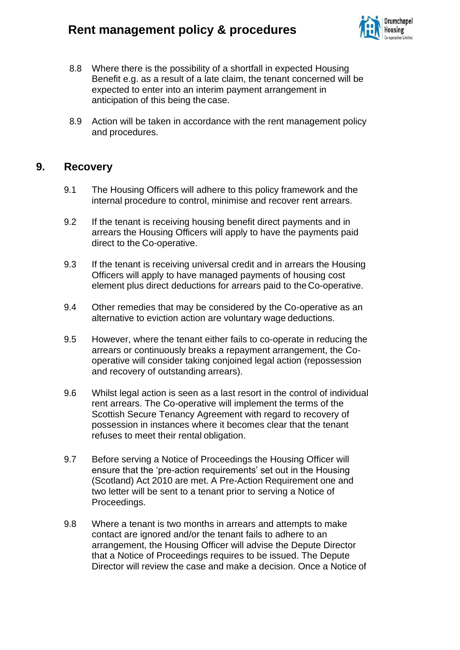

- 8.8 Where there is the possibility of a shortfall in expected Housing Benefit e.g. as a result of a late claim, the tenant concerned will be expected to enter into an interim payment arrangement in anticipation of this being the case.
- 8.9 Action will be taken in accordance with the rent management policy and procedures.

#### **9. Recovery**

- 9.1 The Housing Officers will adhere to this policy framework and the internal procedure to control, minimise and recover rent arrears.
- 9.2 If the tenant is receiving housing benefit direct payments and in arrears the Housing Officers will apply to have the payments paid direct to the Co-operative.
- 9.3 If the tenant is receiving universal credit and in arrears the Housing Officers will apply to have managed payments of housing cost element plus direct deductions for arrears paid to the Co-operative.
- 9.4 Other remedies that may be considered by the Co-operative as an alternative to eviction action are voluntary wage deductions.
- 9.5 However, where the tenant either fails to co-operate in reducing the arrears or continuously breaks a repayment arrangement, the Cooperative will consider taking conjoined legal action (repossession and recovery of outstanding arrears).
- 9.6 Whilst legal action is seen as a last resort in the control of individual rent arrears. The Co-operative will implement the terms of the Scottish Secure Tenancy Agreement with regard to recovery of possession in instances where it becomes clear that the tenant refuses to meet their rental obligation.
- 9.7 Before serving a Notice of Proceedings the Housing Officer will ensure that the 'pre-action requirements' set out in the Housing (Scotland) Act 2010 are met. A Pre-Action Requirement one and two letter will be sent to a tenant prior to serving a Notice of Proceedings.
- 9.8 Where a tenant is two months in arrears and attempts to make contact are ignored and/or the tenant fails to adhere to an arrangement, the Housing Officer will advise the Depute Director that a Notice of Proceedings requires to be issued. The Depute Director will review the case and make a decision. Once a Notice of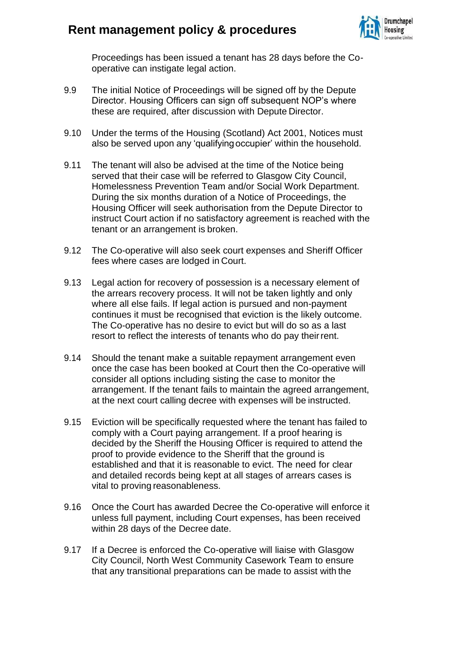

Proceedings has been issued a tenant has 28 days before the Cooperative can instigate legal action.

- 9.9 The initial Notice of Proceedings will be signed off by the Depute Director. Housing Officers can sign off subsequent NOP's where these are required, after discussion with Depute Director.
- 9.10 Under the terms of the Housing (Scotland) Act 2001, Notices must also be served upon any 'qualifyingoccupier' within the household.
- 9.11 The tenant will also be advised at the time of the Notice being served that their case will be referred to Glasgow City Council, Homelessness Prevention Team and/or Social Work Department. During the six months duration of a Notice of Proceedings, the Housing Officer will seek authorisation from the Depute Director to instruct Court action if no satisfactory agreement is reached with the tenant or an arrangement is broken.
- 9.12 The Co-operative will also seek court expenses and Sheriff Officer fees where cases are lodged in Court.
- 9.13 Legal action for recovery of possession is a necessary element of the arrears recovery process. It will not be taken lightly and only where all else fails. If legal action is pursued and non-payment continues it must be recognised that eviction is the likely outcome. The Co-operative has no desire to evict but will do so as a last resort to reflect the interests of tenants who do pay their rent.
- 9.14 Should the tenant make a suitable repayment arrangement even once the case has been booked at Court then the Co-operative will consider all options including sisting the case to monitor the arrangement. If the tenant fails to maintain the agreed arrangement, at the next court calling decree with expenses will be instructed.
- 9.15 Eviction will be specifically requested where the tenant has failed to comply with a Court paying arrangement. If a proof hearing is decided by the Sheriff the Housing Officer is required to attend the proof to provide evidence to the Sheriff that the ground is established and that it is reasonable to evict. The need for clear and detailed records being kept at all stages of arrears cases is vital to proving reasonableness.
- 9.16 Once the Court has awarded Decree the Co-operative will enforce it unless full payment, including Court expenses, has been received within 28 days of the Decree date.
- 9.17 If a Decree is enforced the Co-operative will liaise with Glasgow City Council, North West Community Casework Team to ensure that any transitional preparations can be made to assist with the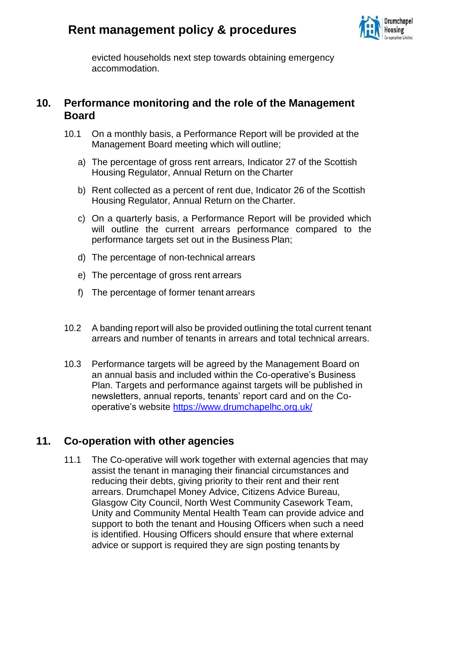

evicted households next step towards obtaining emergency accommodation.

#### **10. Performance monitoring and the role of the Management Board**

- 10.1 On a monthly basis, a Performance Report will be provided at the Management Board meeting which will outline;
	- a) The percentage of gross rent arrears, Indicator 27 of the Scottish Housing Regulator, Annual Return on the Charter
	- b) Rent collected as a percent of rent due, Indicator 26 of the Scottish Housing Regulator, Annual Return on the Charter.
	- c) On a quarterly basis, a Performance Report will be provided which will outline the current arrears performance compared to the performance targets set out in the Business Plan;
	- d) The percentage of non-technical arrears
	- e) The percentage of gross rent arrears
	- f) The percentage of former tenant arrears
- 10.2 A banding report will also be provided outlining the total current tenant arrears and number of tenants in arrears and total technical arrears.
- 10.3 Performance targets will be agreed by the Management Board on an annual basis and included within the Co-operative's Business Plan. Targets and performance against targets will be published in newsletters, annual reports, tenants' report card and on the Cooperative's website <https://www.drumchapelhc.org.uk/>

#### **11. Co-operation with other agencies**

11.1 The Co-operative will work together with external agencies that may assist the tenant in managing their financial circumstances and reducing their debts, giving priority to their rent and their rent arrears. Drumchapel Money Advice, Citizens Advice Bureau, Glasgow City Council, North West Community Casework Team, Unity and Community Mental Health Team can provide advice and support to both the tenant and Housing Officers when such a need is identified. Housing Officers should ensure that where external advice or support is required they are sign posting tenants by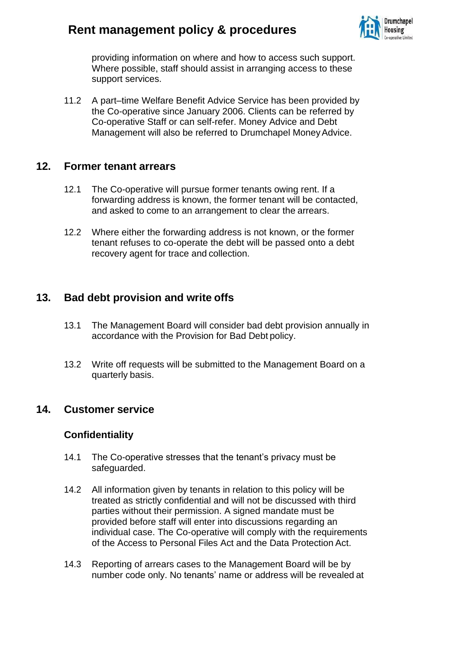

providing information on where and how to access such support. Where possible, staff should assist in arranging access to these support services.

11.2 A part–time Welfare Benefit Advice Service has been provided by the Co-operative since January 2006. Clients can be referred by Co-operative Staff or can self-refer. Money Advice and Debt Management will also be referred to Drumchapel Money Advice.

#### **12. Former tenant arrears**

- 12.1 The Co-operative will pursue former tenants owing rent. If a forwarding address is known, the former tenant will be contacted, and asked to come to an arrangement to clear the arrears.
- 12.2 Where either the forwarding address is not known, or the former tenant refuses to co-operate the debt will be passed onto a debt recovery agent for trace and collection.

### **13. Bad debt provision and write offs**

- 13.1 The Management Board will consider bad debt provision annually in accordance with the Provision for Bad Debt policy.
- 13.2 Write off requests will be submitted to the Management Board on a quarterly basis.

#### **14. Customer service**

#### **Confidentiality**

- 14.1 The Co-operative stresses that the tenant's privacy must be safeguarded.
- 14.2 All information given by tenants in relation to this policy will be treated as strictly confidential and will not be discussed with third parties without their permission. A signed mandate must be provided before staff will enter into discussions regarding an individual case. The Co-operative will comply with the requirements of the Access to Personal Files Act and the Data Protection Act.
- 14.3 Reporting of arrears cases to the Management Board will be by number code only. No tenants' name or address will be revealed at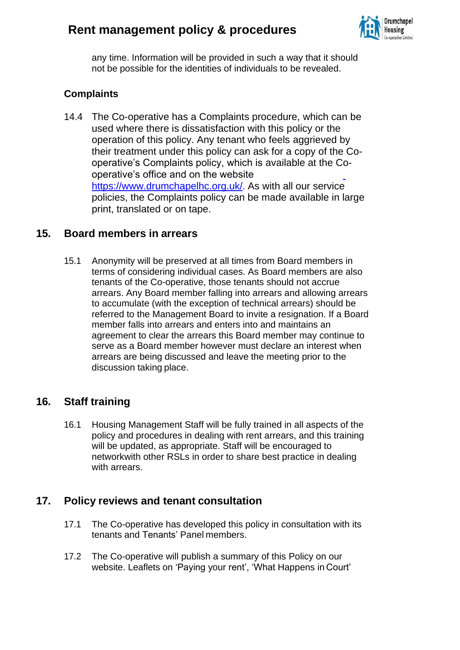

any time. Information will be provided in such a way that it should not be possible for the identities of individuals to be revealed.

#### **Complaints**

14.4 The Co-operative has a Complaints procedure, which can be used where there is dissatisfaction with this policy or the operation of this policy. Any tenant who feels aggrieved by their treatment under this policy can ask for a copy of the Cooperative's Complaints policy, which is available at the Cooperative's office and on the website https:/[/www.drumchapelhc.org.uk/](http://www.drumchapelhc.org.uk/)[.](http://www.drumchapelhc.org.uk/) As with all our service policies, the Complaints policy can be made available in large print, translated or on tape.

#### **15. Board members in arrears**

15.1 Anonymity will be preserved at all times from Board members in terms of considering individual cases. As Board members are also tenants of the Co-operative, those tenants should not accrue arrears. Any Board member falling into arrears and allowing arrears to accumulate (with the exception of technical arrears) should be referred to the Management Board to invite a resignation. If a Board member falls into arrears and enters into and maintains an agreement to clear the arrears this Board member may continue to serve as a Board member however must declare an interest when arrears are being discussed and leave the meeting prior to the discussion taking place.

#### **16. Staff training**

16.1 Housing Management Staff will be fully trained in all aspects of the policy and procedures in dealing with rent arrears, and this training will be updated, as appropriate. Staff will be encouraged to networkwith other RSLs in order to share best practice in dealing with arrears.

#### **17. Policy reviews and tenant consultation**

- 17.1 The Co-operative has developed this policy in consultation with its tenants and Tenants' Panel members.
- 17.2 The Co-operative will publish a summary of this Policy on our website. Leaflets on 'Paying your rent', 'What Happens in Court'